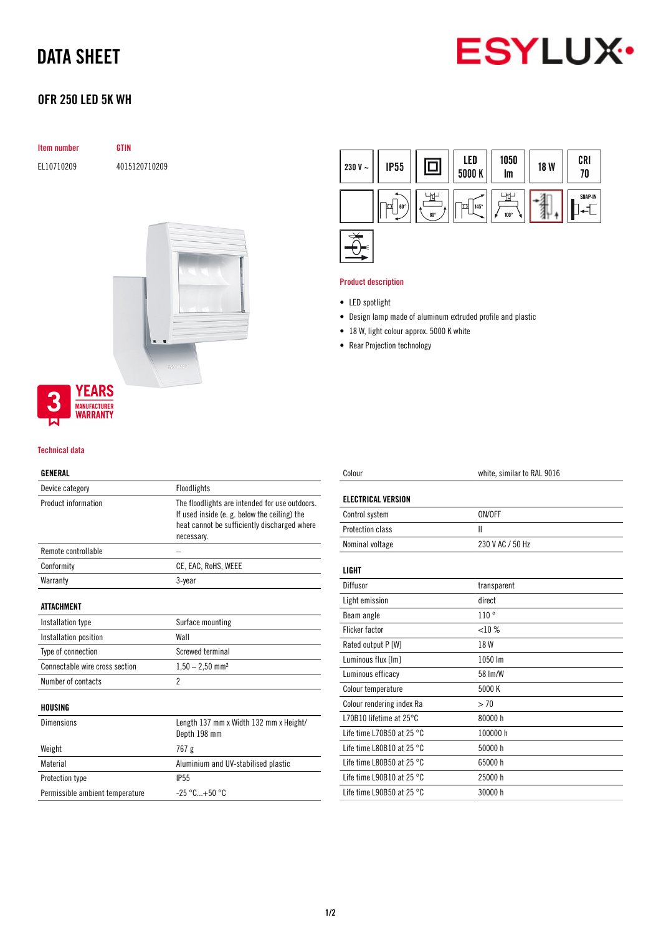# DATA SHEET



# OFR 250 LED 5K WH

| <b>Item number</b> | <b>GTIN</b>   |  |
|--------------------|---------------|--|
| EL10710209         | 4015120710209 |  |
|                    |               |  |
|                    |               |  |
|                    |               |  |
|                    |               |  |
|                    |               |  |
|                    |               |  |
|                    |               |  |
|                    |               |  |



### Technical data

#### GENERAL

| Device category                 | Floodlights                                                                                                                                                  |  |
|---------------------------------|--------------------------------------------------------------------------------------------------------------------------------------------------------------|--|
| Product information             | The floodlights are intended for use outdoors.<br>If used inside (e. g. below the ceiling) the<br>heat cannot be sufficiently discharged where<br>necessary. |  |
| Remote controllable             |                                                                                                                                                              |  |
| Conformity                      | CE, EAC, RoHS, WEEE                                                                                                                                          |  |
| Warranty                        | 3-year                                                                                                                                                       |  |
| <b>ATTACHMENT</b>               |                                                                                                                                                              |  |
| Installation type               | Surface mounting                                                                                                                                             |  |
| Installation position           | Wall                                                                                                                                                         |  |
| Type of connection              | <b>Screwed terminal</b>                                                                                                                                      |  |
| Connectable wire cross section  | $1,50 - 2,50$ mm <sup>2</sup>                                                                                                                                |  |
| Number of contacts              | 2                                                                                                                                                            |  |
| HOUSING                         |                                                                                                                                                              |  |
| Dimensions                      | Length 137 mm x Width 132 mm x Height/<br>Depth 198 mm                                                                                                       |  |
| Weight                          | 767 g                                                                                                                                                        |  |
| Material                        | Aluminium and UV-stabilised plastic                                                                                                                          |  |
| Protection type                 | IP <sub>55</sub>                                                                                                                                             |  |
| Permissible ambient temperature | $-25 °C+50 °C$                                                                                                                                               |  |
|                                 |                                                                                                                                                              |  |



### Product description

- LED spotlight
- Design lamp made of aluminum extruded profile and plastic
- 18 W, light colour approx. 5000 K white
- Rear Projection technology

| Colour                              | white, similar to RAL 9016 |  |
|-------------------------------------|----------------------------|--|
| <b>ELECTRICAL VERSION</b>           |                            |  |
| Control system                      | ON/OFF                     |  |
| Protection class                    | Ш                          |  |
| Nominal voltage                     | 230 V AC / 50 Hz           |  |
| LIGHT                               |                            |  |
| Diffusor                            | transparent                |  |
| Light emission                      | direct                     |  |
| Beam angle                          | 110°                       |  |
| <b>Flicker factor</b>               | $< 10\%$                   |  |
| Rated output P [W]                  | 18 W                       |  |
| Luminous flux [Im]                  | 1050 lm                    |  |
| Luminous efficacy                   | 58 Im/W                    |  |
| Colour temperature                  | 5000 K                     |  |
| Colour rendering index Ra           | > 70                       |  |
| L70B10 lifetime at $25^{\circ}$ C   | 80000h                     |  |
| Life time L70B50 at 25 $^{\circ}$ C | 100000 h                   |  |
| Life time L80B10 at 25 °C           | 50000 h                    |  |
| Life time L80B50 at 25 $^{\circ}$ C | 65000h                     |  |
| Life time L90B10 at 25 $^{\circ}$ C | 25000 h                    |  |
| Life time L90B50 at 25 $^{\circ}$ C | 30000 h                    |  |
|                                     |                            |  |